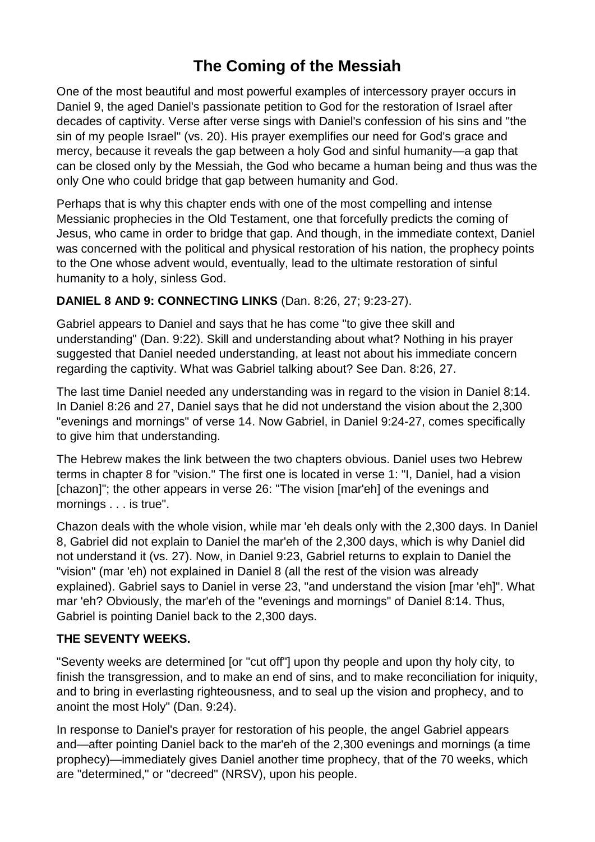# **The Coming of the Messiah**

One of the most beautiful and most powerful examples of intercessory prayer occurs in Daniel 9, the aged Daniel's passionate petition to God for the restoration of Israel after decades of captivity. Verse after verse sings with Daniel's confession of his sins and "the sin of my people Israel" (vs. 20). His prayer exemplifies our need for God's grace and mercy, because it reveals the gap between a holy God and sinful humanity—a gap that can be closed only by the Messiah, the God who became a human being and thus was the only One who could bridge that gap between humanity and God.

Perhaps that is why this chapter ends with one of the most compelling and intense Messianic prophecies in the Old Testament, one that forcefully predicts the coming of Jesus, who came in order to bridge that gap. And though, in the immediate context, Daniel was concerned with the political and physical restoration of his nation, the prophecy points to the One whose advent would, eventually, lead to the ultimate restoration of sinful humanity to a holy, sinless God.

### **DANIEL 8 AND 9: CONNECTING LINKS** (Dan. 8:26, 27; 9:23-27).

Gabriel appears to Daniel and says that he has come "to give thee skill and understanding" (Dan. 9:22). Skill and understanding about what? Nothing in his prayer suggested that Daniel needed understanding, at least not about his immediate concern regarding the captivity. What was Gabriel talking about? See Dan. 8:26, 27.

The last time Daniel needed any understanding was in regard to the vision in Daniel 8:14. In Daniel 8:26 and 27, Daniel says that he did not understand the vision about the 2,300 "evenings and mornings" of verse 14. Now Gabriel, in Daniel 9:24-27, comes specifically to give him that understanding.

The Hebrew makes the link between the two chapters obvious. Daniel uses two Hebrew terms in chapter 8 for "vision." The first one is located in verse 1: "I, Daniel, had a vision [chazon]"; the other appears in verse 26: "The vision [mar'eh] of the evenings and mornings . . . is true".

Chazon deals with the whole vision, while mar 'eh deals only with the 2,300 days. In Daniel 8, Gabriel did not explain to Daniel the mar'eh of the 2,300 days, which is why Daniel did not understand it (vs. 27). Now, in Daniel 9:23, Gabriel returns to explain to Daniel the "vision" (mar 'eh) not explained in Daniel 8 (all the rest of the vision was already explained). Gabriel says to Daniel in verse 23, "and understand the vision [mar 'eh]". What mar 'eh? Obviously, the mar'eh of the "evenings and mornings" of Daniel 8:14. Thus, Gabriel is pointing Daniel back to the 2,300 days.

### **THE SEVENTY WEEKS.**

"Seventy weeks are determined [or "cut off"] upon thy people and upon thy holy city, to finish the transgression, and to make an end of sins, and to make reconciliation for iniquity, and to bring in everlasting righteousness, and to seal up the vision and prophecy, and to anoint the most Holy" (Dan. 9:24).

In response to Daniel's prayer for restoration of his people, the angel Gabriel appears and—after pointing Daniel back to the mar'eh of the 2,300 evenings and mornings (a time prophecy)—immediately gives Daniel another time prophecy, that of the 70 weeks, which are "determined," or "decreed" (NRSV), upon his people.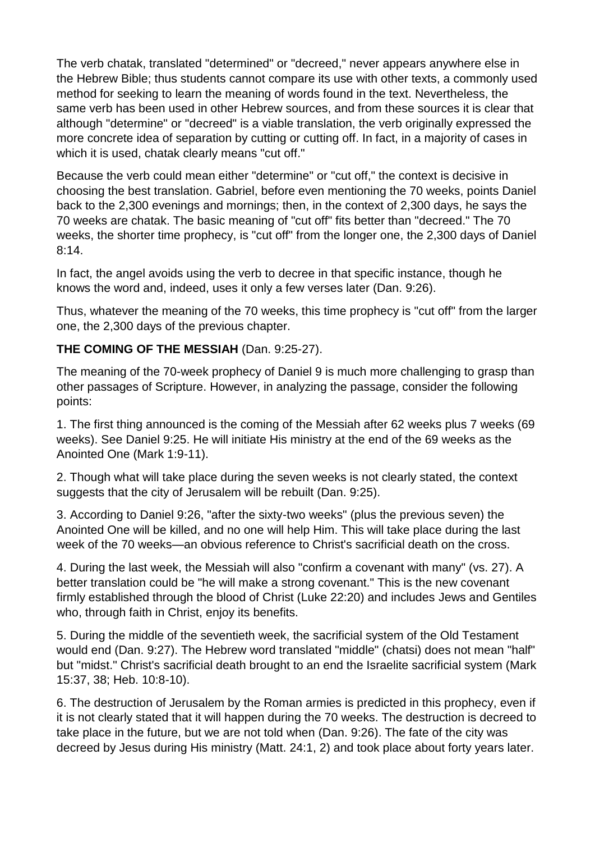The verb chatak, translated "determined" or "decreed," never appears anywhere else in the Hebrew Bible; thus students cannot compare its use with other texts, a commonly used method for seeking to learn the meaning of words found in the text. Nevertheless, the same verb has been used in other Hebrew sources, and from these sources it is clear that although "determine" or "decreed" is a viable translation, the verb originally expressed the more concrete idea of separation by cutting or cutting off. In fact, in a majority of cases in which it is used, chatak clearly means "cut off."

Because the verb could mean either "determine" or "cut off," the context is decisive in choosing the best translation. Gabriel, before even mentioning the 70 weeks, points Daniel back to the 2,300 evenings and mornings; then, in the context of 2,300 days, he says the 70 weeks are chatak. The basic meaning of "cut off" fits better than "decreed." The 70 weeks, the shorter time prophecy, is "cut off" from the longer one, the 2,300 days of Daniel 8:14.

In fact, the angel avoids using the verb to decree in that specific instance, though he knows the word and, indeed, uses it only a few verses later (Dan. 9:26).

Thus, whatever the meaning of the 70 weeks, this time prophecy is "cut off" from the larger one, the 2,300 days of the previous chapter.

### **THE COMING OF THE MESSIAH** (Dan. 9:25-27).

The meaning of the 70-week prophecy of Daniel 9 is much more challenging to grasp than other passages of Scripture. However, in analyzing the passage, consider the following points:

1. The first thing announced is the coming of the Messiah after 62 weeks plus 7 weeks (69 weeks). See Daniel 9:25. He will initiate His ministry at the end of the 69 weeks as the Anointed One (Mark 1:9-11).

2. Though what will take place during the seven weeks is not clearly stated, the context suggests that the city of Jerusalem will be rebuilt (Dan. 9:25).

3. According to Daniel 9:26, "after the sixty-two weeks" (plus the previous seven) the Anointed One will be killed, and no one will help Him. This will take place during the last week of the 70 weeks—an obvious reference to Christ's sacrificial death on the cross.

4. During the last week, the Messiah will also "confirm a covenant with many" (vs. 27). A better translation could be "he will make a strong covenant." This is the new covenant firmly established through the blood of Christ (Luke 22:20) and includes Jews and Gentiles who, through faith in Christ, enjoy its benefits.

5. During the middle of the seventieth week, the sacrificial system of the Old Testament would end (Dan. 9:27). The Hebrew word translated "middle" (chatsi) does not mean "half" but "midst." Christ's sacrificial death brought to an end the Israelite sacrificial system (Mark 15:37, 38; Heb. 10:8-10).

6. The destruction of Jerusalem by the Roman armies is predicted in this prophecy, even if it is not clearly stated that it will happen during the 70 weeks. The destruction is decreed to take place in the future, but we are not told when (Dan. 9:26). The fate of the city was decreed by Jesus during His ministry (Matt. 24:1, 2) and took place about forty years later.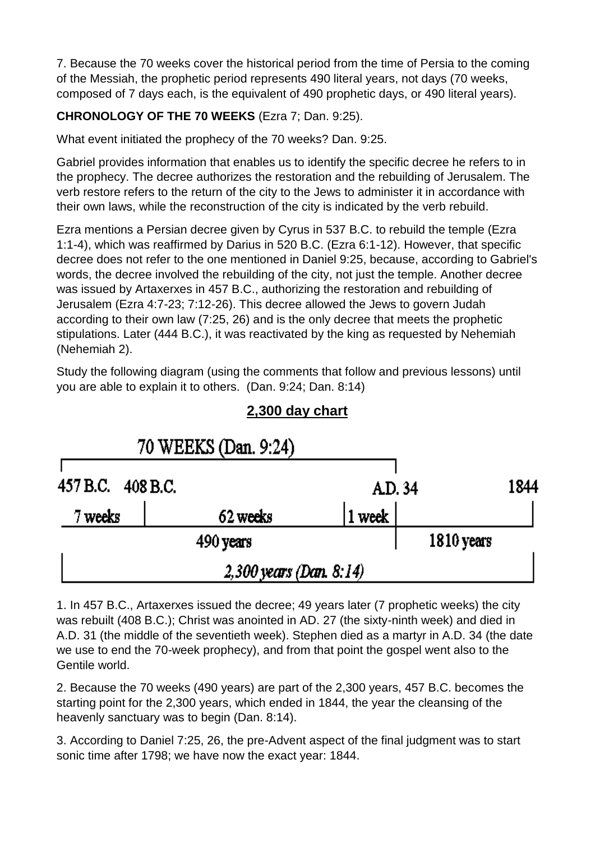7. Because the 70 weeks cover the historical period from the time of Persia to the coming of the Messiah, the prophetic period represents 490 literal years, not days (70 weeks, composed of 7 days each, is the equivalent of 490 prophetic days, or 490 literal years).

### **CHRONOLOGY OF THE 70 WEEKS** (Ezra 7; Dan. 9:25).

What event initiated the prophecy of the 70 weeks? Dan. 9:25.

Gabriel provides information that enables us to identify the specific decree he refers to in the prophecy. The decree authorizes the restoration and the rebuilding of Jerusalem. The verb restore refers to the return of the city to the Jews to administer it in accordance with their own laws, while the reconstruction of the city is indicated by the verb rebuild.

Ezra mentions a Persian decree given by Cyrus in 537 B.C. to rebuild the temple (Ezra 1:1-4), which was reaffirmed by Darius in 520 B.C. (Ezra 6:1-12). However, that specific decree does not refer to the one mentioned in Daniel 9:25, because, according to Gabriel's words, the decree involved the rebuilding of the city, not just the temple. Another decree was issued by Artaxerxes in 457 B.C., authorizing the restoration and rebuilding of Jerusalem (Ezra 4:7-23; 7:12-26). This decree allowed the Jews to govern Judah according to their own law (7:25, 26) and is the only decree that meets the prophetic stipulations. Later (444 B.C.), it was reactivated by the king as requested by Nehemiah (Nehemiah 2).

Study the following diagram (using the comments that follow and previous lessons) until you are able to explain it to others. (Dan. 9:24; Dan. 8:14)



## **2,300 day chart**

1. In 457 B.C., Artaxerxes issued the decree; 49 years later (7 prophetic weeks) the city was rebuilt (408 B.C.); Christ was anointed in AD. 27 (the sixty-ninth week) and died in A.D. 31 (the middle of the seventieth week). Stephen died as a martyr in A.D. 34 (the date we use to end the 70-week prophecy), and from that point the gospel went also to the Gentile world.

2. Because the 70 weeks (490 years) are part of the 2,300 years, 457 B.C. becomes the starting point for the 2,300 years, which ended in 1844, the year the cleansing of the heavenly sanctuary was to begin (Dan. 8:14).

3. According to Daniel 7:25, 26, the pre-Advent aspect of the final judgment was to start sonic time after 1798; we have now the exact year: 1844.